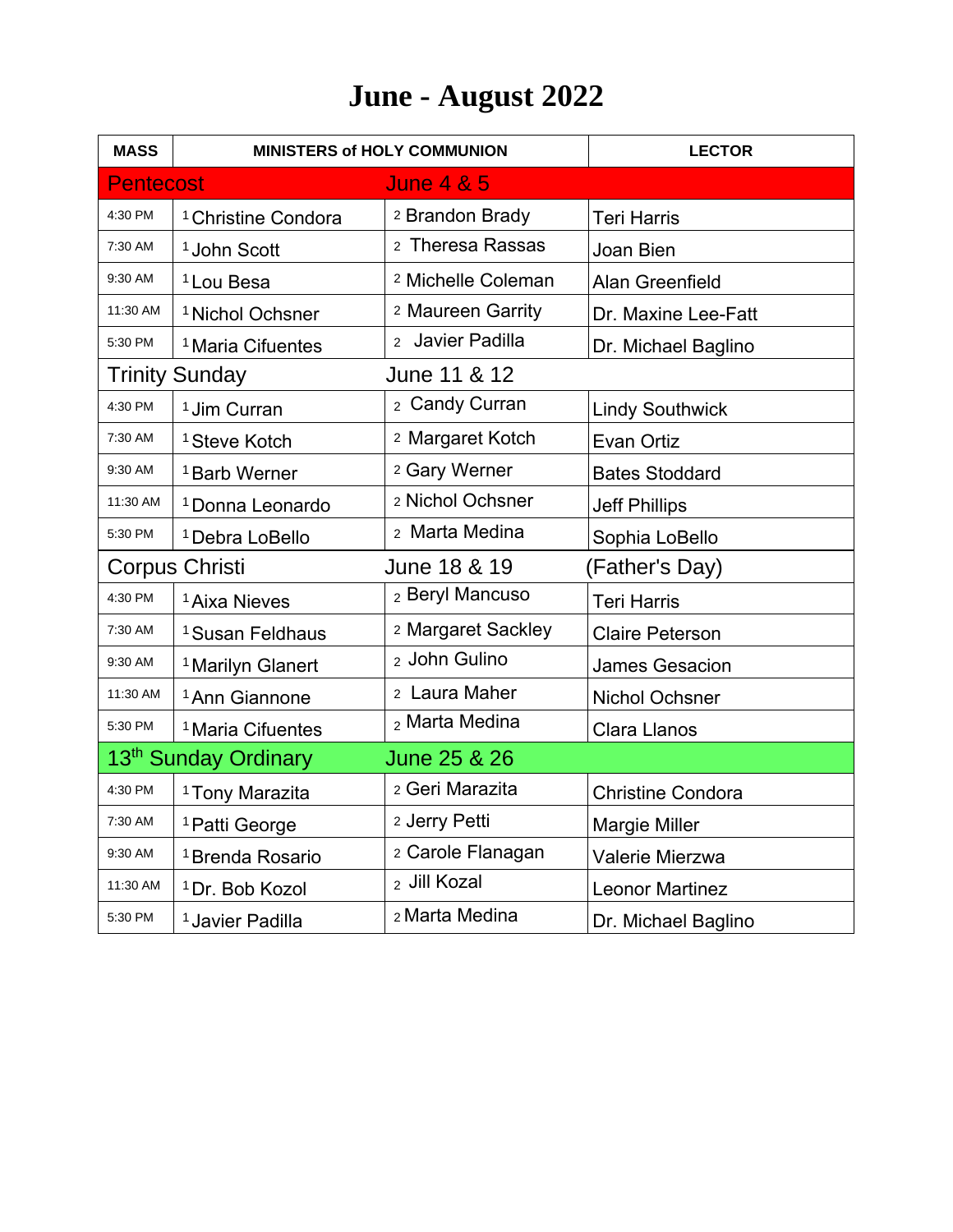## **June - August 2022**

| <b>MASS</b>                                      | <b>MINISTERS of HOLY COMMUNION</b> |                               | <b>LECTOR</b>            |  |
|--------------------------------------------------|------------------------------------|-------------------------------|--------------------------|--|
| <b>Pentecost</b>                                 |                                    | <b>June 4 &amp; 5</b>         |                          |  |
| 4:30 PM                                          | <sup>1</sup> Christine Condora     | <sup>2</sup> Brandon Brady    | <b>Teri Harris</b>       |  |
| 7:30 AM                                          | <sup>1</sup> John Scott            | 2 Theresa Rassas              | Joan Bien                |  |
| 9:30 AM                                          | <sup>1</sup> Lou Besa              | <sup>2</sup> Michelle Coleman | Alan Greenfield          |  |
| 11:30 AM                                         | <sup>1</sup> Nichol Ochsner        | <sup>2</sup> Maureen Garrity  | Dr. Maxine Lee-Fatt      |  |
| 5:30 PM                                          | <sup>1</sup> Maria Cifuentes       | 2 Javier Padilla              | Dr. Michael Baglino      |  |
|                                                  | <b>Trinity Sunday</b>              | June 11 & 12                  |                          |  |
| 4:30 PM                                          | <sup>1</sup> Jim Curran            | 2 Candy Curran                | <b>Lindy Southwick</b>   |  |
| 7:30 AM                                          | <sup>1</sup> Steve Kotch           | 2 Margaret Kotch              | Evan Ortiz               |  |
| 9:30 AM                                          | <sup>1</sup> Barb Werner           | 2 Gary Werner                 | <b>Bates Stoddard</b>    |  |
| 11:30 AM                                         | <sup>1</sup> Donna Leonardo        | 2 Nichol Ochsner              | <b>Jeff Phillips</b>     |  |
| 5:30 PM                                          | <sup>1</sup> Debra LoBello         | 2 Marta Medina                | Sophia LoBello           |  |
| Corpus Christi                                   |                                    | June 18 & 19                  | (Father's Day)           |  |
| 4:30 PM                                          | <sup>1</sup> Aixa Nieves           | 2 Beryl Mancuso               | <b>Teri Harris</b>       |  |
| 7:30 AM                                          | <sup>1</sup> Susan Feldhaus        | 2 Margaret Sackley            | <b>Claire Peterson</b>   |  |
| 9:30 AM                                          | <sup>1</sup> Marilyn Glanert       | 2 John Gulino                 | <b>James Gesacion</b>    |  |
| 11:30 AM                                         | <sup>1</sup> Ann Giannone          | 2 Laura Maher                 | <b>Nichol Ochsner</b>    |  |
| 5:30 PM                                          | <sup>1</sup> Maria Cifuentes       | 2 Marta Medina                | <b>Clara Llanos</b>      |  |
| 13 <sup>th</sup> Sunday Ordinary<br>June 25 & 26 |                                    |                               |                          |  |
| 4:30 PM                                          | <sup>1</sup> Tony Marazita         | 2 Geri Marazita               | <b>Christine Condora</b> |  |
| 7:30 AM                                          | <sup>1</sup> Patti George          | 2 Jerry Petti                 | <b>Margie Miller</b>     |  |
| 9:30 AM                                          | <sup>1</sup> Brenda Rosario        | 2 Carole Flanagan             | Valerie Mierzwa          |  |
| 11:30 AM                                         | <sup>1</sup> Dr. Bob Kozol         | <sub>2</sub> Jill Kozal       | <b>Leonor Martinez</b>   |  |
| 5:30 PM                                          | <sup>1</sup> Javier Padilla        | 2 Marta Medina                | Dr. Michael Baglino      |  |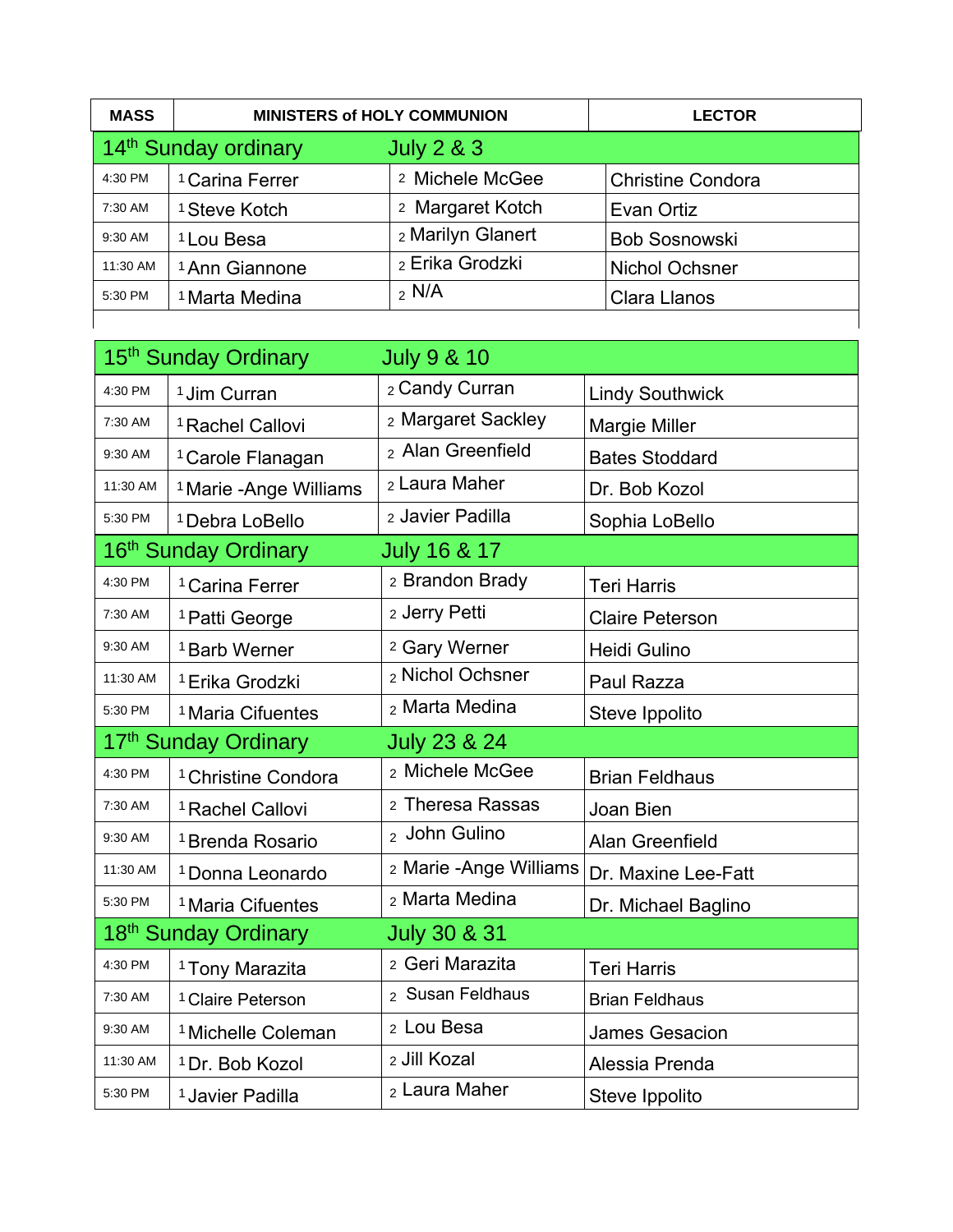| <b>MASS</b>                                      | <b>MINISTERS of HOLY COMMUNION</b> |                   | <b>LECTOR</b>            |
|--------------------------------------------------|------------------------------------|-------------------|--------------------------|
| 14 <sup>th</sup> Sunday ordinary<br>July $2 & 3$ |                                    |                   |                          |
| 4:30 PM                                          | <sup>1</sup> Carina Ferrer         | 2 Michele McGee   | <b>Christine Condora</b> |
| 7:30 AM                                          | <sup>1</sup> Steve Kotch           | 2 Margaret Kotch  | Evan Ortiz               |
| 9:30 AM                                          | <sup>1</sup> Lou Besa              | 2 Marilyn Glanert | <b>Bob Sosnowski</b>     |
| 11:30 AM                                         | <sup>1</sup> Ann Giannone          | 2 Erika Grodzki   | <b>Nichol Ochsner</b>    |
| 5:30 PM                                          | <sup>1</sup> Marta Medina          | $2$ N/A           | <b>Clara Llanos</b>      |
|                                                  |                                    |                   |                          |

|          | 15 <sup>th</sup> Sunday Ordinary                            | <b>July 9 &amp; 10</b>   |                        |  |  |
|----------|-------------------------------------------------------------|--------------------------|------------------------|--|--|
| 4:30 PM  | <sup>1</sup> Jim Curran                                     | 2 Candy Curran           | <b>Lindy Southwick</b> |  |  |
| 7:30 AM  | <sup>1</sup> Rachel Callovi                                 | 2 Margaret Sackley       | <b>Margie Miller</b>   |  |  |
| 9:30 AM  | <sup>1</sup> Carole Flanagan                                | 2 Alan Greenfield        | <b>Bates Stoddard</b>  |  |  |
| 11:30 AM | <sup>1</sup> Marie - Ange Williams                          | 2 Laura Maher            | Dr. Bob Kozol          |  |  |
| 5:30 PM  | <sup>1</sup> Debra LoBello                                  | 2 Javier Padilla         | Sophia LoBello         |  |  |
|          | 16 <sup>th</sup> Sunday Ordinary<br><b>July 16 &amp; 17</b> |                          |                        |  |  |
| 4:30 PM  | <sup>1</sup> Carina Ferrer                                  | 2 Brandon Brady          | <b>Teri Harris</b>     |  |  |
| 7:30 AM  | <sup>1</sup> Patti George                                   | 2 Jerry Petti            | <b>Claire Peterson</b> |  |  |
| 9:30 AM  | <sup>1</sup> Barb Werner                                    | <sup>2</sup> Gary Werner | Heidi Gulino           |  |  |
| 11:30 AM | <sup>1</sup> Erika Grodzki                                  | 2 Nichol Ochsner         | Paul Razza             |  |  |
| 5:30 PM  | <sup>1</sup> Maria Cifuentes                                | 2 Marta Medina           | Steve Ippolito         |  |  |
|          | 17th Sunday Ordinary                                        | <b>July 23 &amp; 24</b>  |                        |  |  |
| 4:30 PM  | <sup>1</sup> Christine Condora                              | 2 Michele McGee          | <b>Brian Feldhaus</b>  |  |  |
| 7:30 AM  | <sup>1</sup> Rachel Callovi                                 | 2 Theresa Rassas         | Joan Bien              |  |  |
| 9:30 AM  | <sup>1</sup> Brenda Rosario                                 | 2 John Gulino            | Alan Greenfield        |  |  |
| 11:30 AM | <sup>1</sup> Donna Leonardo                                 | 2 Marie - Ange Williams  | Dr. Maxine Lee-Fatt    |  |  |
| 5:30 PM  | <sup>1</sup> Maria Cifuentes                                | 2 Marta Medina           | Dr. Michael Baglino    |  |  |
|          | 18 <sup>th</sup> Sunday Ordinary<br><b>July 30 &amp; 31</b> |                          |                        |  |  |
| 4:30 PM  | <sup>1</sup> Tony Marazita                                  | 2 Geri Marazita          | <b>Teri Harris</b>     |  |  |
| 7:30 AM  | <sup>1</sup> Claire Peterson                                | 2 Susan Feldhaus         | <b>Brian Feldhaus</b>  |  |  |
| 9:30 AM  | <sup>1</sup> Michelle Coleman                               | 2 Lou Besa               | <b>James Gesacion</b>  |  |  |
| 11:30 AM | <sup>1</sup> Dr. Bob Kozol                                  | 2 Jill Kozal             | Alessia Prenda         |  |  |
| 5:30 PM  | <sup>1</sup> Javier Padilla                                 | 2 Laura Maher            | Steve Ippolito         |  |  |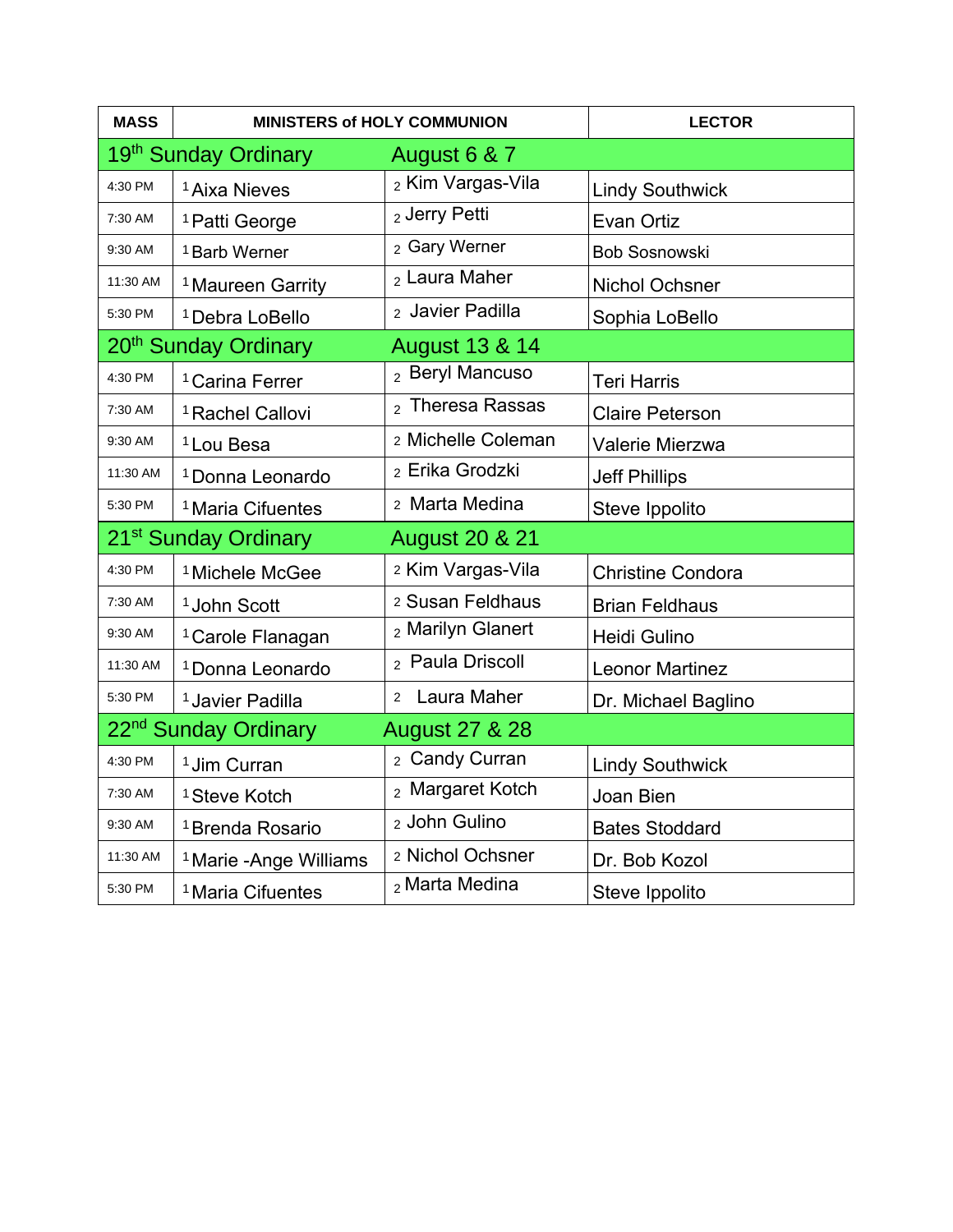| <b>MASS</b>                                                   | <b>MINISTERS of HOLY COMMUNION</b> |                               | <b>LECTOR</b>            |  |
|---------------------------------------------------------------|------------------------------------|-------------------------------|--------------------------|--|
|                                                               | 19 <sup>th</sup> Sunday Ordinary   | August 6 & 7                  |                          |  |
| 4:30 PM                                                       | <sup>1</sup> Aixa Nieves           | 2 Kim Vargas-Vila             | <b>Lindy Southwick</b>   |  |
| 7:30 AM                                                       | <sup>1</sup> Patti George          | 2 Jerry Petti                 | Evan Ortiz               |  |
| 9:30 AM                                                       | <sup>1</sup> Barb Werner           | 2 Gary Werner                 | <b>Bob Sosnowski</b>     |  |
| 11:30 AM                                                      | <sup>1</sup> Maureen Garrity       | 2 Laura Maher                 | <b>Nichol Ochsner</b>    |  |
| 5:30 PM                                                       | <sup>1</sup> Debra LoBello         | 2 Javier Padilla              | Sophia LoBello           |  |
| 20 <sup>th</sup> Sunday Ordinary                              |                                    | <b>August 13 &amp; 14</b>     |                          |  |
| 4:30 PM                                                       | <sup>1</sup> Carina Ferrer         | 2 Beryl Mancuso               | <b>Teri Harris</b>       |  |
| 7:30 AM                                                       | <sup>1</sup> Rachel Callovi        | <sub>2</sub> Theresa Rassas   | <b>Claire Peterson</b>   |  |
| 9:30 AM                                                       | <sup>1</sup> Lou Besa              | 2 Michelle Coleman            | Valerie Mierzwa          |  |
| 11:30 AM                                                      | <sup>1</sup> Donna Leonardo        | 2 Erika Grodzki               | <b>Jeff Phillips</b>     |  |
| 5:30 PM                                                       | <sup>1</sup> Maria Cifuentes       | 2 Marta Medina                | Steve Ippolito           |  |
| 21 <sup>st</sup> Sunday Ordinary                              |                                    | <b>August 20 &amp; 21</b>     |                          |  |
| 4:30 PM                                                       | <sup>1</sup> Michele McGee         | 2 Kim Vargas-Vila             | <b>Christine Condora</b> |  |
| 7:30 AM                                                       | <sup>1</sup> John Scott            | 2 Susan Feldhaus              | <b>Brian Feldhaus</b>    |  |
| 9:30 AM                                                       | <sup>1</sup> Carole Flanagan       | 2 Marilyn Glanert             | Heidi Gulino             |  |
| 11:30 AM                                                      | <sup>1</sup> Donna Leonardo        | 2 Paula Driscoll              | <b>Leonor Martinez</b>   |  |
| 5:30 PM                                                       | <sup>1</sup> Javier Padilla        | Laura Maher<br>$\overline{2}$ | Dr. Michael Baglino      |  |
| 22 <sup>nd</sup> Sunday Ordinary<br><b>August 27 &amp; 28</b> |                                    |                               |                          |  |
| 4:30 PM                                                       | <sup>1</sup> Jim Curran            | 2 Candy Curran                | <b>Lindy Southwick</b>   |  |
| 7:30 AM                                                       | <sup>1</sup> Steve Kotch           | 2 Margaret Kotch              | Joan Bien                |  |
| 9:30 AM                                                       | <sup>1</sup> Brenda Rosario        | 2 John Gulino                 | <b>Bates Stoddard</b>    |  |
| 11:30 AM                                                      | <sup>1</sup> Marie - Ange Williams | 2 Nichol Ochsner              | Dr. Bob Kozol            |  |
| 5:30 PM                                                       | <sup>1</sup> Maria Cifuentes       | 2 Marta Medina                | Steve Ippolito           |  |